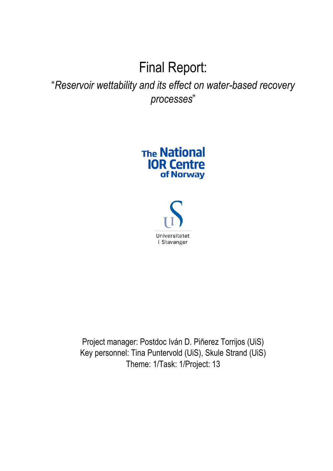# Final Report:

# "*Reservoir wettability and its effect on water-based recovery processes*"

# **The National IOR Centre** of Norway



Project manager: Postdoc Iván D. Piñerez Torrijos (UiS) Key personnel: Tina Puntervold (UiS), Skule Strand (UiS) Theme: 1/Task: 1/Project: 13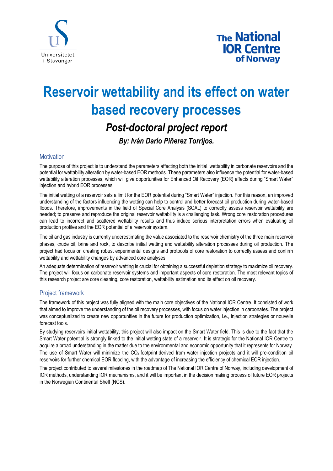

# **Reservoir wettability and its effect on water based recovery processes** *Post-doctoral project report*

*By: Iván Darío Piñerez Torrijos.* 

### **Motivation**

The purpose of this project is to understand the parameters affecting both the initial wettability in carbonate reservoirs and the potential for wettability alteration by water-based EOR methods. These parameters also influence the potential for water-based wettability alteration processes, which will give opportunities for Enhanced Oil Recovery (EOR) effects during "Smart Water" injection and hybrid EOR processes.

The initial wetting of a reservoir sets a limit for the EOR potential during "Smart Water" injection. For this reason, an improved understanding of the factors influencing the wetting can help to control and better forecast oil production during water-based floods. Therefore, improvements in the field of Special Core Analysis (SCAL) to correctly assess reservoir wettability are needed; to preserve and reproduce the original reservoir wettability is a challenging task. Wrong core restoration procedures can lead to incorrect and scattered wettability results and thus induce serious interpretation errors when evaluating oil production profiles and the EOR potential of a reservoir system.

The oil and gas industry is currently underestimating the value associated to the reservoir chemistry of the three main reservoir phases, crude oil, brine and rock, to describe initial wetting and wettability alteration processes during oil production. The project had focus on creating robust experimental designs and protocols of core restoration to correctly assess and confirm wettability and wettability changes by advanced core analyses.

An adequate determination of reservoir wetting is crucial for obtaining a successful depletion strategy to maximize oil recovery. The project will focus on carbonate reservoir systems and important aspects of core restoration. The most relevant topics of this research project are core cleaning, core restoration, wettability estimation and its effect on oil recovery.

## Project framework

The framework of this project was fully aligned with the main core objectives of the National IOR Centre. It consisted of work that aimed to improve the understanding of the oil recovery processes, with focus on water injection in carbonates. The project was conceptualized to create new opportunities in the future for production optimization, i.e., injection strategies or nouvelle forecast tools.

By studying reservoirs initial wettability, this project will also impact on the Smart Water field. This is due to the fact that the Smart Water potential is strongly linked to the initial wetting state of a reservoir. It is strategic for the National IOR Centre to acquire a broad understanding in the matter due to the environmental and economic opportunity that it represents for Norway. The use of Smart Water will minimize the CO<sup>2</sup> footprint derived from water injection projects and it will pre-condition oil reservoirs for further chemical EOR flooding, with the advantage of increasing the efficiency of chemical EOR injection.

The project contributed to several milestones in the roadmap of The National IOR Centre of Norway, including development of IOR methods, understanding IOR mechanisms, and it will be important in the decision making process of future EOR projects in the Norwegian Continental Shelf (NCS).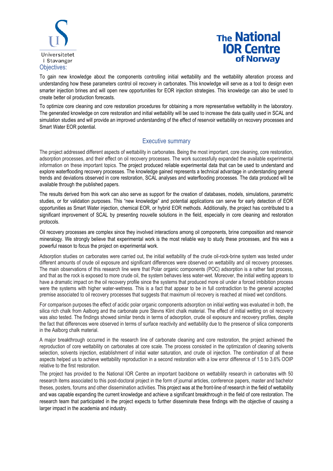

To gain new knowledge about the components controlling initial wettability and the wettability alteration process and understanding how these parameters control oil recovery in carbonates. This knowledge will serve as a tool to design even smarter injection brines and will open new opportunities for EOR injection strategies. This knowledge can also be used to create better oil production forecasts.

To optimize core cleaning and core restoration procedures for obtaining a more representative wettability in the laboratory. The generated knowledge on core restoration and initial wettability will be used to increase the data quality used in SCAL and simulation studies and will provide an improved understanding of the effect of reservoir wettability on recovery processes and Smart Water EOR potential.

## Executive summary

The project addressed different aspects of wettability in carbonates. Being the most important, core cleaning, core restoration, adsorption processes, and their effect on oil recovery processes. The work successfully expanded the available experimental information on these important topics. The project produced reliable experimental data that can be used to understand and explore waterflooding recovery processes. The knowledge gained represents a technical advantage in understanding general trends and deviations observed in core restoration, SCAL analyses and waterflooding processes. The data produced will be available through the published papers.

The results derived from this work can also serve as support for the creation of databases, models, simulations, parametric studies, or for validation purposes. This "new knowledge" and potential applications can serve for early detection of EOR opportunities as Smart Water injection, chemical EOR, or hybrid EOR methods. Additionally, the project has contributed to a significant improvement of SCAL by presenting nouvelle solutions in the field, especially in core cleaning and restoration protocols.

Oil recovery processes are complex since they involved interactions among oil components, brine composition and reservoir mineralogy. We strongly believe that experimental work is the most reliable way to study these processes, and this was a powerful reason to focus the project on experimental work.

Adsorption studies on carbonates were carried out, the initial wettability of the crude oil-rock-brine system was tested under different amounts of crude oil exposure and significant differences were observed on wettability and oil recovery processes. The main observations of this research line were that Polar organic components (POC) adsorption is a rather fast process, and that as the rock is exposed to more crude oil, the system behaves less water-wet. Moreover, the initial wetting appears to have a dramatic impact on the oil recovery profile since the systems that produced more oil under a forced imbibition process were the systems with higher water-wetness. This is a fact that appear to be in full contradiction to the general accepted premise associated to oil recovery processes that suggests that maximum oil recovery is reached at mixed wet conditions.

For comparison purposes the effect of acidic polar organic components adsorption on initial wetting was evaluated in both, the silica rich chalk from Aalborg and the carbonate pure Stevns Klint chalk material. The effect of initial wetting on oil recovery was also tested. The findings showed similar trends in terms of adsorption, crude oil exposure and recovery profiles, despite the fact that differences were observed in terms of surface reactivity and wettability due to the presence of silica components in the Aalborg chalk material.

A major breakthrough occurred in the research line of carbonate cleaning and core restoration, the project achieved the reproduction of core wettability on carbonates at core scale. The process consisted in the optimization of cleaning solvents selection, solvents injection, establishment of initial water saturation, and crude oil injection. The combination of all these aspects helped us to achieve wettability reproduction in a second restoration with a low error difference of 1.5 to 3.6% OOIP relative to the first restoration.

The project has provided to the National IOR Centre an important backbone on wettability research in carbonates with 50 research items associated to this post-doctoral project in the form of journal articles, conference papers, master and bachelor theses, posters, forums and other dissemination activities. This project was at the front-line of research in the field of wettability and was capable expanding the current knowledge and achieve a significant breakthrough in the field of core restoration. The research team that participated in the project expects to further disseminate these findings with the objective of causing a larger impact in the academia and industry.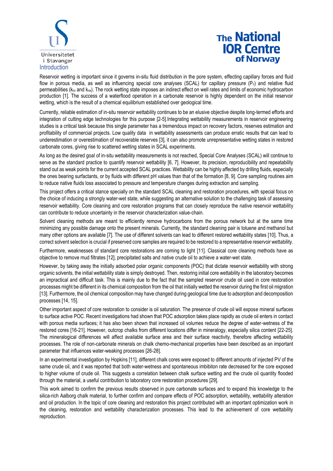

Reservoir wetting is important since it governs in-situ fluid distribution in the pore system, effecting capillary forces and fluid flow in porous media, as well as influencing special core analyses (SCAL) for capillary pressure  $(P_c)$  and relative fluid permeabilities ( $k_{ro}$  and  $k_{rw}$ ). The rock wetting state imposes an indirect effect on well rates and limits of economic hydrocarbon production [1]. The success of a waterflood operation in a carbonate reservoir is highly dependent on the initial reservoir wetting, which is the result of a chemical equilibrium established over geological time.

Currently, reliable estimation of in-situ reservoir wettability continues to be an elusive objective despite long-termed efforts and integration of cutting edge technologies for this purpose [2-5].Integrating wettability measurements in reservoir engineering studies is a critical task because this single parameter has a tremendous impact on recovery factors, reserves estimation and profitability of commercial projects. Low quality data in wettability assessments can produce erratic results that can lead to underestimation or overestimation of recoverable reserves [3], it can also promote unrepresentative wetting states in restored carbonate cores, giving rise to scattered wetting states in SCAL experiments.

As long as the desired goal of in-situ wettability measurements is not reached, Special Core Analyses (SCAL) will continue to serve as the standard practice to quantify reservoir wettability [6, 7]. However, its precision, reproducibility and repeatability stand out as weak points for the current accepted SCAL practices. Wettability can be highly affected by drilling fluids, especially the ones bearing surfactants, or by fluids with different pH values than that of the formation [8, 9]. Core sampling routines aim to reduce native fluids loss associated to pressure and temperature changes during extraction and sampling.

This project offers a critical stance specially on the standard SCAL cleaning and restoration procedures, with special focus on the choice of inducing a strongly water-wet state, while suggesting an alternative solution to the challenging task of assessing reservoir wettability. Core cleaning and core restoration programs that can closely reproduce the native reservoir wettability can contribute to reduce uncertainty in the reservoir characterization value-chain.

Solvent cleaning methods are meant to efficiently remove hydrocarbons from the porous network but at the same time minimizing any possible damage onto the present minerals. Currently, the standard cleaning pair is toluene and methanol but many other options are available [7]. The use of different solvents can lead to different restored wettability states [10]. Thus, a correct solvent selection is crucial if preserved core samples are required to be restored to a representative reservoir wettability.

Furthermore, weaknesses of standard core restorations are coming to light [11]. Classical core cleaning methods have as objective to remove mud filtrates [12], precipitated salts and native crude oil to achieve a water-wet state.

However, by taking away the initially adsorbed polar organic components (POC) that dictate reservoir wettability with strong organic solvents, the initial wettability state is simply destroyed. Then, restoring initial core wettability in the laboratory becomes an impractical and difficult task. This is mainly due to the fact that the sampled reservoir crude oil used in core restoration processes might be different in its chemical composition from the oil that initially wetted the reservoir during the first oil migration [13]. Furthermore, the oil chemical composition may have changed during geological time due to adsorption and decomposition processes [14, 15].

Other important aspect of core restoration to consider is oil saturation. The presence of crude oil will expose mineral surfaces to surface active POC. Recent investigations had shown that POC adsorption takes place rapidly as crude oil enters in contact with porous media surfaces; it has also been shown that increased oil volumes reduce the degree of water-wetness of the restored cores [16-21]. However, outcrop chalks from different locations differ in mineralogy, especially silica content [22-25]. The mineralogical differences will affect available surface area and their surface reactivity, therefore affecting wettability processes. The role of non-carbonate minerals on chalk chemo-mechanical properties have been described as an important parameter that influences water-weaking processes [26-28].

In an experimental investigation by Hopkins [11], different chalk cores were exposed to different amounts of injected PV of the same crude oil, and it was reported that both water-wetness and spontaneous imbibiton rate decreased for the core exposed to higher volume of crude oil. This suggests a correlation between chalk surface wetting and the crude oil quantity flooded through the material, a useful contribution to laboratory core restoration procedures [29].

This work aimed to confirm the previous results observed in pure carbonate surfaces and to expand this knowledge to the silica-rich Aalborg chalk material, to further confirm and compare effects of POC adsorption, wettability, wettability alteration and oil production. In the topic of core cleaning and restoration this project contributed with an important optimization work in the cleaning, restoration and wettability characterization processes. This lead to the achievement of core wettability reproduction.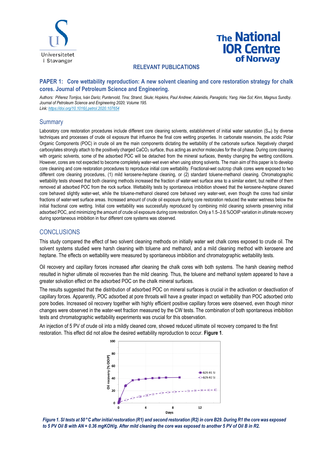

### **RELEVANT PUBLICATIONS**

### **PAPER 1: Core wettability reproduction: A new solvent cleaning and core restoration strategy for chalk cores. Journal of Petroleum Science and Engineering.**

*Authors: Piñerez Torrijos, Iván Darío; Puntervold, Tina; Strand, Skule; Hopkins, Paul Andrew; Aslanidis, Panagiotis; Yang, Hae Sol; Kinn, Magnus Sundby. Journal of Petroleum Science and Engineering 2020; Volume 195. Link[: https://doi.org/10.1016/j.petrol.2020.107654](https://doi.org/10.1016/j.petrol.2020.107654)*

### **Summary**

Laboratory core restoration procedures include different core cleaning solvents, establishment of initial water saturation (S<sub>wi</sub>) by diverse techniques and processes of crude oil exposure that influence the final core wetting properties. In carbonate reservoirs, the acidic Polar Organic Components (POC) in crude oil are the main components dictating the wettability of the carbonate surface. Negatively charged carboxylates strongly attach to the positively charged CaCO<sub>3</sub> surface, thus acting as anchor molecules for the oil phase. During core cleaning with organic solvents, some of the adsorbed POC will be detached from the mineral surfaces, thereby changing the wetting conditions. However, cores are not expected to become completely water-wet even when using strong solvents. The main aim of this paper is to develop core cleaning and core restoration procedures to reproduce initial core wettability. Fractional-wet outcrop chalk cores were exposed to two different core cleaning procedures, (1) mild kerosene-heptane cleaning, or (2) standard toluene-methanol cleaning. Chromatographic wettability tests showed that both cleaning methods increased the fraction of water-wet surface area to a similar extent, but neither of them removed all adsorbed POC from the rock surface. Wettability tests by spontaneous imbibition showed that the kerosene-heptane cleaned core behaved slightly water-wet, while the toluene-methanol cleaned core behaved very water-wet, even though the cores had similar fractions of water-wet surface areas. Increased amount of crude oil exposure during core restoration reduced the water wetness below the initial fractional core wetting. Initial core wettability was successfully reproduced by combining mild cleaning solvents preserving initial adsorbed POC, and minimizing the amount of crude oil exposure during core restoration. Only a 1.5–3.6 %OOIP variation in ultimate recovery during spontaneous imbibition in four different core systems was observed.

### **CONCLUSIONS**

This study compared the effect of two solvent cleaning methods on initially water wet chalk cores exposed to crude oil. The solvent systems studied were harsh cleaning with toluene and methanol, and a mild cleaning method with kerosene and heptane. The effects on wettability were measured by spontaneous imbibition and chromatographic wettability tests.

Oil recovery and capillary forces increased after cleaning the chalk cores with both systems. The harsh cleaning method resulted in higher ultimate oil recoveries than the mild cleaning. Thus, the toluene and methanol system appeared to have a greater solvation effect on the adsorbed POC on the chalk mineral surfaces.

The results suggested that the distribution of adsorbed POC on mineral surfaces is crucial in the activation or deactivation of capillary forces. Apparently, POC adsorbed at pore throats will have a greater impact on wettability than POC adsorbed onto pore bodies. Increased oil recovery together with highly efficient positive capillary forces were observed, even though minor changes were observed in the water-wet fraction measured by the CW tests. The combination of both spontaneous imbibition tests and chromatographic wettability experiments was crucial for this observation.

An injection of 5 PV of crude oil into a mildly cleaned core, showed reduced ultimate oil recovery compared to the first restoration. This effect did not allow the desired wettability reproduction to occur. **Figure 1**.



*Figure 1. SI tests at 50 °C after initial restoration (R1) and second restoration (R2) in core B29. During R1 the core was exposed to 5 PV Oil B with AN = 0.36 mgKOH/g. After mild cleaning the core was exposed to another 5 PV of Oil B in R2.*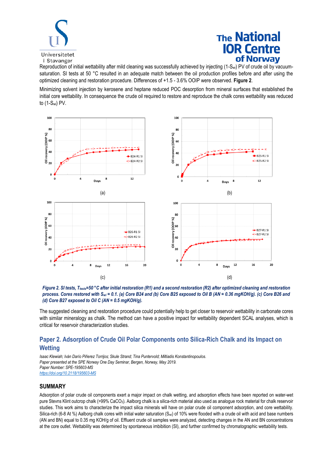

Reproduction of initial wettability after mild cleaning was successfully achieved by injecting (1-Swi) PV of crude oil by vacuumsaturation. SI tests at 50 °C resulted in an adequate match between the oil production profiles before and after using the optimized cleaning and restoration procedure. Differences of +1.5 - 3.6% OOIP were observed. **Figure 2**.

Minimizing solvent injection by kerosene and heptane reduced POC desorption from mineral surfaces that established the initial core wettability. In consequence the crude oil required to restore and reproduce the chalk cores wettability was reduced to (1-Swi) PV.





The suggested cleaning and restoration procedure could potentially help to get closer to reservoir wettability in carbonate cores with similar mineralogy as chalk. The method can have a positive impact for wettability dependent SCAL analyses, which is critical for reservoir characterization studies.

# **Paper 2. Adsorption of Crude Oil Polar Components onto Silica-Rich Chalk and its Impact on Wetting**

*Isaac Klewiah; Iván Darío Piñerez Torrijos; Skule Strand; Tina Puntervold; Miltiadis Konstantinopoulos. Paper presented at the SPE Norway One Day Seminar, Bergen, Norway, May 2019. Paper Number: SPE-195603-MS <https://doi.org/10.2118/195603-MS>*

### **SUMMARY**

Adsorption of polar crude oil components exert a major impact on chalk wetting, and adsorption effects have been reported on water-wet pure Stevns Klint outcrop chalk (>99% CaCO3). Aalborg chalk is a silica-rich material also used as analogue rock material for chalk reservoir studies. This work aims to characterize the impact silica minerals will have on polar crude oil component adsorption, and core wettability. Silica-rich (6-8 At %) Aalborg chalk cores with initial water saturation (S<sub>wi</sub>) of 10% were flooded with a crude oil with acid and base numbers (AN and BN) equal to 0.35 mg KOH/g of oil. Effluent crude oil samples were analyzed, detecting changes in the AN and BN concentrations at the core outlet. Wettability was determined by spontaneous imbibition (SI), and further confirmed by chromatographic wettability tests.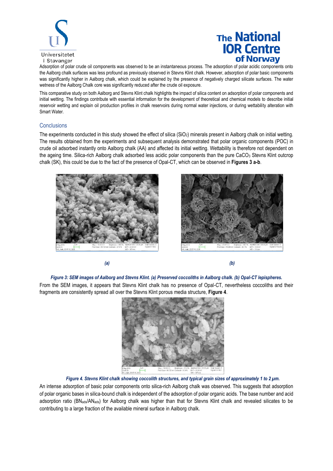

Adsorption of polar crude oil components was observed to be an instantaneous process. The adsorption of polar acidic components onto the Aalborg chalk surfaces was less profound as previously observed in Stevns Klint chalk. However, adsorption of polar basic components was significantly higher in Aalborg chalk, which could be explained by the presence of negatively charged silicate surfaces. The water wetness of the Aalborg Chalk core was significantly reduced after the crude oil exposure.

This comparative study on both Aalborg and Stevns Klint chalk highlights the impact of silica content on adsorption of polar components and initial wetting. The findings contribute with essential information for the development of theoretical and chemical models to describe initial reservoir wetting and explain oil production profiles in chalk reservoirs during normal water injections, or during wettability alteration with Smart Water.

#### **Conclusions**

The experiments conducted in this study showed the effect of silica  $(SiO<sub>2</sub>)$  minerals present in Aalborg chalk on initial wetting. The results obtained from the experiments and subsequent analysis demonstrated that polar organic components (POC) in crude oil adsorbed instantly onto Aalborg chalk (AA) and affected its initial wetting. Wettability is therefore not dependent on the ageing time. Silica-rich Aalborg chalk adsorbed less acidic polar components than the pure CaCO<sub>3</sub> Stevns Klint outcrop chalk (SK), this could be due to the fact of the presence of Opal-CT, which can be observed in **Figures 3 a-b**.







#### *Figure 3: SEM images of Aalborg and Stevns Klint. (a) Preserved coccoliths in Aalborg chalk. (b) Opal-CT lepispheres.*

From the SEM images, it appears that Stevns Klint chalk has no presence of Opal-CT, nevertheless coccoliths and their fragments are consistently spread all over the Stevns Klint porous media structure, **Figure 4**.



#### *Figure 4. Stevns Klint chalk showing coccolith structures, and typical grain sizes of approximately 1 to 2 µm.*

An intense adsorption of basic polar components onto silica-rich Aalborg chalk was observed. This suggests that adsorption of polar organic bases in silica-bound chalk is independent of the adsorption of polar organic acids. The base number and acid adsorption ratio (BN<sub>ads</sub>/AN<sub>ads</sub>) for Aalborg chalk was higher than that for Stevns Klint chalk and revealed silicates to be contributing to a large fraction of the available mineral surface in Aalborg chalk.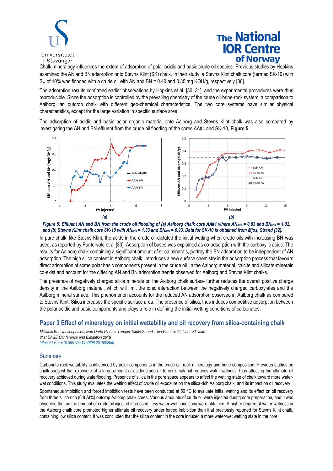

Chalk mineralogy influences the extent of adsorption of polar acidic and basic crude oil species. Previous studies by Hopkins examined the AN and BN adsorption onto Stevns Klint (SK) chalk. In their study, a Stevns Klint chalk core (termed SK-10) with Swi of 10% was flooded with a crude oil with AN and BN = 0.40 and 0.35 mg KOH/g, respectively [30].

The adsorption results confirmed earlier observations by Hopkins et al. [30, 31], and the experimental procedures were thus reproducible. Since the adsorption is controlled by the prevailing chemistry of the crude oil-brine-rock system, a comparison to Aalborg; an outcrop chalk with different geo-chemical characteristics. The two core systems have similar physical characteristics, except for the large variation in specific surface area.

The adsorption of acidic and basic polar organic material onto Aalborg and Stevns Klint chalk was also compared by investigating the AN and BN effluent from the crude oil flooding of the cores AA#1 and SK-10, **Figure 5**.





In pure chalk, like Stevns Klint, the acids in the crude oil dictated the initial wetting when crude oils with increasing BN was used, as reported by Puntervold et al [33]. Adsorption of bases was explained as co-adsorption with the carboxylic acids. The results for Aalborg chalk containing a significant amount of silica minerals, portray the BN adsorption to be independent of AN adsorption. The high silica content in Aalborg chalk, introduces a new surface chemistry in the adsorption process that favours direct adsorption of some polar basic components present in the crude oil. In the Aalborg material, calcite and silicate-minerals co-exist and account for the differing AN and BN adsorption trends observed for Aalborg and Stevns Klint chalks.

The presence of negatively charged silica minerals on the Aalborg chalk surface further reduces the overall positive charge density in the Aalborg material, which will limit the ionic interaction between the negatively charged carboxylates and the Aalborg mineral surface. This phenomenon accounts for the reduced AN adsorption observed in Aalborg chalk as compared to Stevns Klint. Silica increases the specific surface area. The presence of silica, thus induces competitive adsorption between the polar acidic and basic components and plays a role in defining the initial wetting conditions of carbonates.

### **Paper 3 Effect of mineralogy on initial wettability and oil recovery from silica-containing chalk**

*Miltiadis Konstantinopoulos, Iván Darío Piñerez Torrijos; Skule Strand; Tina Puntervold; Isaac Klewiah. 81st EAGE Conference and Exhibition 2019 <https://doi.org/10.3997/2214-4609.201900956>*

### **Summary**

Carbonate rock wettability is influenced by polar components in the crude oil, rock mineralogy and brine composition. Previous studies on chalk suggest that exposure of a large amount of acidic crude oil to core material reduces water wetness, thus affecting the ultimate oil recovery achieved during waterflooding. Presence of silica in the pore space appears to affect the wetting state of chalk toward more waterwet conditions. This study evaluates the wetting effect of crude oil exposure on the silica-rich Aalborg chalk, and its impact on oil recovery.

Spontaneous imbibition and forced imbibition tests have been conducted at 50 °C to evaluate initial wetting and its effect on oil recovery from three silica-rich (6.8 At%) outcrop Aalborg chalk cores. Various amounts of crude oil were injected during core preparation, and it was observed that as the amount of crude oil injected increased, less water-wet conditions were obtained. A higher degree of water wetness in the Aalborg chalk core promoted higher ultimate oil recovery under forced imbibition than that previously reported for Stevns Klint chalk, containing low silica content. It was concluded that the silica content in the core induced a more water-wet wetting state in the core.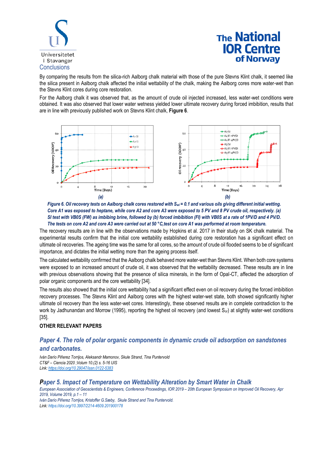

By comparing the results from the silica-rich Aalborg chalk material with those of the pure Stevns Klint chalk, it seemed like the silica present in Aalborg chalk affected the initial wettability of the chalk, making the Aalborg cores more water-wet than the Stevns Klint cores during core restoration.

For the Aalborg chalk it was observed that, as the amount of crude oil injected increased, less water-wet conditions were obtained. It was also observed that lower water wetness yielded lower ultimate recovery during forced imbibition, results that are in line with previously published work on Stevns Klint chalk, **Figure 6**.



*Figure 6. Oil recovery tests on Aalborg chalk cores restored with Swi = 0.1 and various oils giving different initial wetting. Core A1 was exposed to heptane, while core A2 and core A3 were exposed to 5 PV and 8 PV crude oil, respectively. (a) SI test with VB0S (FW) as imbibing brine, followed by (b) forced imbibition (FI) with VB0S at a rate of 1PV/D and 4 PV/D. The tests on core A2 and core A3 were carried out at 50 °C,test on core A1 was performed at room temperature.* 

The recovery results are in line with the observations made by Hopkins et al. 2017 in their study on SK chalk material. The experimental results confirm that the initial core wettability established during core restoration has a significant effect on ultimate oil recoveries. The ageing time was the same for all cores, so the amount of crude oil flooded seems to be of significant importance, and dictates the initial wetting more than the ageing process itself.

The calculated wettability confirmed that the Aalborg chalk behaved more water-wet than Stevns Klint. When both core systems were exposed to an increased amount of crude oil, it was observed that the wettability decreased. These results are in line with previous observations showing that the presence of silica minerals, in the form of Opal-CT, affected the adsorption of polar organic components and the core wettability [34].

The results also showed that the initial core wettability had a significant effect even on oil recovery during the forced imbibition recovery processes. The Stevns Klint and Aalborg cores with the highest water-wet state, both showed significantly higher ultimate oil recovery than the less water-wet cores. Interestingly, these observed results are in complete contradiction to the work by Jadhunandan and Morrow (1995), reporting the highest oil recovery (and lowest  $S_{or}$ ) at slightly water-wet conditions [35].

### **OTHER RELEVANT PAPERS**

## *Paper 4. The role of polar organic components in dynamic crude oil adsorption on sandstones and carbonates.*

*Iván Darío Piñerez Torrijos, Aleksandr Mamonov, Skule Strand, Tina Puntervold CT&F – Ciencia 2020 ;Volum 10.(2) s. 5-16 UIS Link[: https://doi.org/10.29047/issn.0122-5383](https://doi.org/10.29047/issn.0122-5383)*

### *Paper 5. Impact of Temperature on Wettability Alteration by Smart Water in Chalk*

*European Association of Geoscientists & Engineers[, Conference Proceedings,](https://www.earthdoc.org/content/serial/2214-4609) IOR 2019 – [20th European Symposium on Improved Oil Recovery,](https://www.earthdoc.org/content/proceedings/pau2019) Apr 2019, Volume 2019, p.1 – 11*

*Iván Darío Piñerez Torrijos, Kristoffer G.Sæby, Skule Strand and Tina Puntervold. Link[: https://doi.org/10.3997/2214-4609.201900178](https://doi.org/10.3997/2214-4609.201900178)*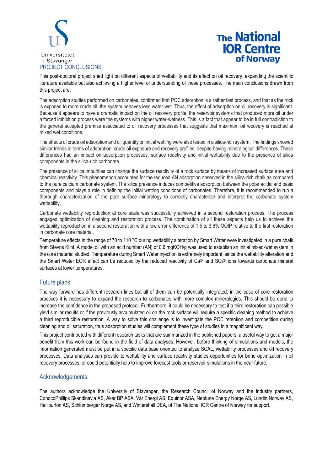

This post-doctoral project shed light on different aspects of wettability and its effect on oil recovery, expanding the scientific literature available but also achieving a higher level of understanding of these processes. The main conclusions drawn from this project are:

The adsorption studies performed on carbonates, confirmed that POC adsorption is a rather fast process, and that as the rock is exposed to more crude oil, the system behaves less water-wet. Thus, the effect of adsorption on oil recovery is significant. Because it appears to have a dramatic impact on the oil recovery profile, the reservoir systems that produced more oil under a forced imbibition process were the systems with higher water-wetness. This is a fact that appear to be in full contradiction to the general accepted premise associated to oil recovery processes that suggests that maximum oil recovery is reached at mixed wet conditions.

The effects of crude oil adsorption and oil quantity on initial wetting were also tested in a silica-rich system. The findings showed similar trends in terms of adsorption, crude oil exposure and recovery profiles, despite having mineralogical differences. These differences had an impact on adsorption processes, surface reactivity and initial wettability due to the presence of silica components in the silica-rich carbonate.

The presence of silica impurities can change the surface reactivity of a rock surface by means of increased surface area and chemical reactivity. This phenomenon accounted for the reduced AN adsorption observed in the silica-rich chalk as compared to the pure calcium carbonate system. The silica presence induces competitive adsorption between the polar acidic and basic components and plays a role in defining the initial wetting conditions of carbonates. Therefore, it is recommended to run a thorough characterization of the pore surface mineralogy to correctly characterize and interpret the carbonate system wettability.

Carbonate wettability reproduction at core scale was successfully achieved in a second restoration process. The process engaged optimization of cleaning and restoration process. The combination of all these aspects help us to achieve the wettability reproduction in a second restoration with a low error difference of 1.5 to 3.6% OOIP relative to the first restoration in carbonate core material.

Temperature effects in the range of 70 to 110 °C during wettability alteration by Smart Water were investigated in a pure chalk from Stevns Klint. A model oil with an acid number (AN) of 0.6 mgKOH/g was used to establish an initial mixed-wet system in the core material studied. Temperature during Smart Water injection is extremely important, since the wettability alteration and the Smart Water EOR effect can be reduced by the reduced reactivity of  $Ca^{2+}$  and SO<sub>4</sub><sup>2</sup> ions towards carbonate mineral surfaces at lower temperatures.

### Future plans

The way forward has different research lines but all of them can be potentially integrated, in the case of core restoration practices it is necessary to expand the research to carbonates with more complex mineralogies. This should be done to increase the confidence in the proposed protocol. Furthermore, it could be necessary to test if a third restoration can possible yield similar results or if the previously accumulated oil on the rock surface will require a specific cleaning method to achieve a third reproducible restoration. A way to solve this challenge is to investigate the POC retention and competition during cleaning and oil saturation, thus adsorption studies will complement these type of studies in a magnificent way.

This project contributed with different research tasks that are summarized in the published papers, a useful way to get a major benefit from this work can be found in the field of data analyses. However, before thinking of simulations and models, the information generated must be put in a specific data base oriented to analyze SCAL, wettability processes and oil recovery processes. Data analyses can provide to wettability and surface reactivity studies opportunities for brine optimization in oil recovery processes, or could potentially help to improve forecast tools or reservoir simulations in the near future.

### Acknowledgements

The authors acknowledge the University of Stavanger, the Research Council of Norway and the industry partners, ConocoPhillips Skandinavia AS, Aker BP ASA, Vår Energi AS, Equinor ASA, Neptune Energy Norge AS, Lundin Norway AS, Halliburton AS, Schlumberger Norge AS, and Wintershall DEA, of The National IOR Centre of Norway for support.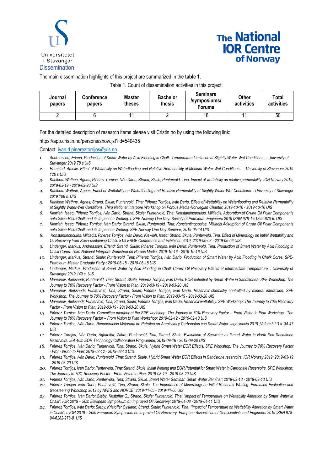

The main dissemination highlights of this project are summarized in the **table 1**.

Table 1. Count of dissemination activities in this project.

| Journal<br>papers | Conference<br>papers | Master<br>theses | <b>Bachelor</b><br>thesis | <b>Seminars</b><br>/symposiums/<br><b>Forums</b> | Other<br>activities | Total<br>activities |
|-------------------|----------------------|------------------|---------------------------|--------------------------------------------------|---------------------|---------------------|
|                   |                      |                  |                           | 18                                               | 44                  | 50                  |

For the detailed description of research items please visit Cristin.no by using the following link:

https://app.cristin.no/persons/show.jsf?id=540435

Contact[: ivan.d.pinereztorrijos@uis.no.](mailto:ivan.d.pinereztorrijos@uis.no)

- 1. *Andreassen, Erlend. Production of Smart Water by Acid Flooding in Chalk: Temperature Limitation at Slightly Water-Wet Conditions . : University of Stavanger 2019 78 s.UIS*
- *2. Harestad, Amelie. Effect of Wettability on Waterflooding and Relative Rermeability at Medium Water-Wet Conditions. . : University of Stavanger 2019 126 s.UIS*
- *3. Kahlbom Wathne, Agnes; Piñerez Torrijos, Iván Darío; Strand, Skule; Puntervold, Tina. Impact of wettability on relative permeability. IOR Norway 2019; 2019-03-19 - 2019-03-20 UIS*
- *4. Kahlbom Wathne, Agnes. Effect of Wettability on Waterflooding and Relative Permeability at Slightly Water-Wet Conditions. : University of Stavanger 2019 108 s. UIS*
- *5. Kahlbom Wathne, Agnes; Strand, Skule; Puntervold, Tina; Piñerez Torrijos, Iván Darío. Effect of Wettability on Waterflooding and Relative Permeability at Slightly Water-Wet Conditions. Third National Interpore Workshop on Porous Media-Norwegian Chapter; 2019-10-16 - 2019-10-16 UIS*
- *6. Klewiah, Isaac; Piñerez Torrijos, Iván Darío; Strand, Skule; Puntervold, Tina; Konstantinopoulos, Miltiadis. Adsorption of Crude Oil Polar Components onto Silica-Rich Chalk and its Impact on Wetting. I: SPE Norway One Day. Society of Petroleum Engineers 2019 ISBN 978-1-61399-670-6. UIS*
- *7. Klewiah, Isaac; Piñerez Torrijos, Iván Darío; Strand, Skule; Puntervold, Tina; Konstantinopoulos, Miltiadis.Adsorption of Crude Oil Polar Components onto Silica-Rich Chalk and its Impact on Wetting. SPE Norway One Day Seminar; 2019-05-14 UIS*
- *8. Konstantinopoulos, Miltiadis; Piñerez Torrijos, Iván Darío; Klewiah, Isaac; Strand, Skule; Puntervold, Tina. Effect of Mineralogy on Initial Wettability and Oil Recovery from Silica-containing Chalk. 81st EAGE Conference and Exhibition 2019; 2019-06-03 - 2019-06-06 UIS*
- *9. Lindanger, Markus; Andreassen, Erlend; Strand, Skule; Piñerez Torrijos, Iván Darío; Puntervold, Tina. Production of Smart Water by Acid Flooding in Chalk Cores. Third National Interpore Workshop on Porous Media; 2019-10-16 - 2019-10-16 UIS*
- *10. Lindanger, Markus; Strand, Skule; Puntervold, Tina; Piñerez Torrijos, Iván Darío. Production of Smart Water by Acid Flooding in Chalk Cores. SPE-Petroleum Master Graduate Party-; 2019-06-18 - 2019-06-18 UIS*
- 11. Lindanger, Markus. Production of Smart Water by Acid Flooding in Chalk Cores: Oil Recovery Effects at Intermediate Temperature. : University of *Stavanger 2019 149 s. UIS*
- *12. Mamonov, Aleksandr; Puntervold, Tina; Strand, Skule; Piñerez Torrijos, Iván Darío. EOR potential by Smart Water in Sandstones. SPE Workshop: The Journey to 70% Recovery Factor - From Vision to Plan; 2019-03-19 - 2019-03-20 UIS*
- *13. Mamonov, Aleksandr; Puntervold, Tina; Strand, Skule; Piñerez Torrijos, Iván Darío. Reservoir chemistry controlled by mineral interaction. SPE Workshop: The Journey to 70% Recovery Factor - From Vision to Plan; 2019-03-19 - 2019-03-20 UIS*
- *14. Mamonov, Aleksandr; Puntervold, Tina; Strand, Skule; Piñerez Torrijos, Iván Darío. Reservoir wettability. SPE Workshop: The Journey to 70% Recovery Factor - From Vision to Plan; 2019-03-19 - 2019-03-20 UIS*
- 15. Piñerez Torrijos, Iván Darío. Committee member at the SPE workshop: The Journey to 70% Recovery Factor From Vision to Plan Workshop.. The *Journey to 70% Recovery Factor – From Vision to Plan Workshop; 2019-02-12 - 2019-02-13 UIS*
- *16. Piñerez Torrijos, Iván Darío. Recuperación Mejorada de Petróleo en Areniscas y Carbonatos con Smart Water. Ingeciencia 2019 ;Volum 3.(1) s. 34-47 UIS*
- *17. Piñerez Torrijos, Iván Darío; Aghaeifar, Zahra; Puntervold, Tina; Strand, Skule. Evaluation of Seawater as Smart Water in North Sea Sandstone Reservoirs. IEA 40th EOR Technology Collaboration Programme; 2019-09-16 - 2019-09-20 UIS*
- *18. Piñerez Torrijos, Iván Darío; Puntervold, Tina; Strand, Skule. Hybrid Smart Water EOR Effects. SPE Workshop: The Journey to 70% Recovery Factor - From Vision to Plan; 2019-02-12 - 2019-02-13 UIS*
- *19. Piñerez Torrijos, Iván Darío; Puntervold, Tina; Strand, Skule. Hybrid Smart Water EOR Effects in Sandstone reservoirs. IOR Norway 2019; 2019-03-19 - 2019-03-20 UIS*
- *20. Piñerez Torrijos, Iván Darío; Puntervold, Tina; Strand, Skule. Initial Wetting and EOR Potential for Smart Water in Carbonate Reservoirs. SPE Workshop: The Journey to 70% Recovery Factor - From Vision to Plan; 2019-03-19 - 2019-03-20 UIS*
- *21. Piñerez Torrijos, Iván Darío; Puntervold, Tina; Strand, Skule. Smart Water Seminar. Smart Water Seminar; 2019-09-13 - 2019-09-13 UIS*
- *22. Piñerez Torrijos, Iván Darío; Puntervold, Tina; Strand, Skule. The Importance of Mineralogy on Initial Reservoir Wetting. Formation Evaluation and Geosteering Workshop 2019 by NFES and NORCE; 2019-11-05 - 2019-11-06 UIS*
- *23. Piñerez Torrijos, Iván Darío; Sæby, Kristoffer G.; Strand, Skule; Puntervold, Tina. "Impact of Temperature on Wettability Alteration by Smart Water in Chalk". IOR 2019 – 20th European Symposium on Improved Oil Recovery; 2019-04-08 - 2019-04-11 UIS*
- 24. Piñerez Torrijos, Iván Darío; Sæby, Kristoffer Gysland; Strand, Skule; Puntervold, Tina. <sup>*"Impact of Temperature on Wettability Alteration by Smart Water*</sup> *in Chalk". I: IOR 2019 – 20th European Symposium on Improved Oil Recovery. European Association of Geoscientists and Engineers 2019 ISBN 978- 94-6282-278-8. UIS*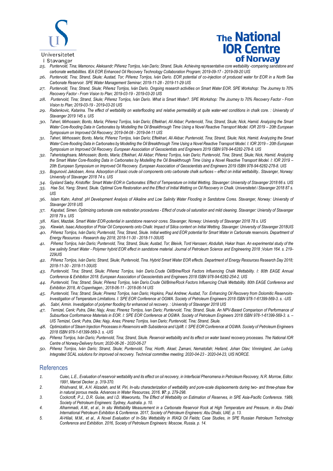

#### Universitetet

i Stavanger

# **The National IOR Centre** of Norway

- *25. Puntervold, Tina; Mamonov, Aleksandr; Piñerez Torrijos, Iván Darío; Strand, Skule. Achieving representative core wettability -comparing sandstone and carbonate wettabilities. IEA EOR Enhanced Oil Recovery Technology Collaboration Program; 2019-09-17 - 2019-09-20 UIS*
- *26. Puntervold, Tina; Strand, Skule; Austad, Tor; Piñerez Torrijos, Iván Darío. EOR potential of co-injection of produced water for EOR in a North Sea Carbonate Reservoir. SPE Water Management Seminar; 2019-11-28 - 2019-11-29 UIS*
- *27. Puntervold, Tina; Strand, Skule; Piñerez Torrijos, Iván Darío. Ongoing research activities on Smart Water EOR. SPE Workshop: The Journey to 70% Recovery Factor - From Vision to Plan; 2019-03-19 - 2019-03-20 UIS*
- *28. Puntervold, Tina; Strand, Skule; Piñerez Torrijos, Iván Darío. What is Smart Water?. SPE Workshop: The Journey to 70% Recovery Factor - From Vision to Plan; 2019-03-19 - 2019-03-20 UIS*
- *29. Radenkovic, Katarina. The effect of wettability on waterflooding and relative permeability at quite water-wet conditions in chalk core. : University of Stavanger 2019 145 s. UIS*
- *30. Taheri, Mirhossein; Bonto, María; Piñerez Torrijos, Iván Darío; Eftekhari, Ali Akbar; Puntervold, Tina; Strand, Skule; Nick, Hamid. Analyzing the Smart Water Core-flooding Data in Carbonates by Modelling the Oil Breakthrough Time Using a Novel Reactive Transport Model. IOR 2019 - 20th European Symposium on Improved Oil Recovery; 2019-04-08 - 2019-04-11 UIS*
- *31. Taheri, Mirhossein; Bonto, María; Piñerez Torrijos, Iván Darío; Eftekhari, Ali Akbar; Puntervold, Tina; Strand, Skule; Nick, Hamid. Analyzing the Smart*  Water Core-flooding Data in Carbonates by Modelling the Oil Breakthrough Time Using a Novel Reactive Transport Model. I: IOR 2019 - 20th European *Symposium on Improved Oil Recovery. European Association of Geoscientists and Engineers 2019 ISBN 978-94-6282-278-8. UIS*
- *32. Taheriotaghsara, Mirhossein; Bonto, María; Eftekhari, Ali Akbar; Piñerez Torrijos, Iván Darío; Puntervold, Tina; Strand, Skule; Nick, Hamid. Analyzing the Smart Water Core-flooding Data in Carbonates by Modelling the Oil Breakthrough Time Using a Novel Reactive Transport Model. I: IOR 2019 – 20th European Symposium on Improved Oil Recovery. European Association of Geoscientists and Engineers 2019 ISBN 978-94-6282-278-8. UIS*
- *33. Bogunović Jakobsen, Anna. Adsorption of basic crude oil components onto carbonate chalk surfaces – effect on initial wettability.. Stavanger, Norway: University of Stavanger 2018 74 s. UIS*
- *34. Gysland Sæby, Kristoffer. Smart Water EOR in Carbonates: Effect of Temperature on Initial Wetting. Stavanger: University of Stavanger 2018 66 s. UIS*
- *35. Hae Sol, Yang; Strand, Skule. Optimal Core Restoration and the Effect of Initial Wetting on Oil Recovery in Chalk. Universitetet i Stavanger 2018 87 s. UIS*
- *36. Islam Kahn, Ashraf. pH Development Analysis of Alkaline and Low Salinity Water Flooding in Sandstone Cores. Stavanger, Norway: University of Stavanger 2018 UIS*
- *37. Kapstad, Simen. Optimizing carbonate core restoration procedures - Effect of crude oil saturation and mild cleaning. Stavanger: Uniersity of Stavanger 2018 79 s. UIS*
- *38. Kiani, Mazdak. Smart Water EOR-potential in sandstone reservoir cores. Stavanger, Norway: University of Stavanger 2018 78 s. UIS*
- *39. Klewiah, Isaac.Adsorption of Polar Oil Components onto Chalk: Impact of Silica content on Initial Wetting. Stavanger: University of Stavanger 2018UIS*
- *40. Piñerez Torrijos, Iván Darío; Puntervold, Tina; Strand, Skule. Initial wetting and EOR potential for Smart Water in Carbonate reservoirs. Department of Energy Resources - Research day 2018; 2018-11-30 - 2018-11-30UIS*
- *41. Piñerez Torrijos, Iván Darío; Puntervold, Tina; Strand, Skule; Austad, Tor; Bleivik, Tord Hanssen; Abdullah, Hakar Ihsan. An experimental study of the low salinity Smart Water - Polymer hybrid EOR effect in sandstone material. Journal of Petroleum Science and Engineering 2018 ;Volum 164. s. 219- 229UIS*
- *42. Piñerez Torrijos, Iván Darío; Strand, Skule; Puntervold, Tina. Hybrid Smart Water EOR effects. Department of Energy Resources Research Day 2018; 2018-11-30 - 2018-11-30UIS*
- *43. Puntervold, Tina; Strand, Skule; Piñerez Torrijos, Iván Darío.Crude Oil/Brine/Rock Factors Influencing Chalk Wettability. I: 80th EAGE Annual Conference & Exhibition 2018. European Association of Geoscientists and Engineers 2018 ISBN 978-94-6282-254-2. UIS*
- *44. Puntervold, Tina; Strand, Skule; Piñerez Torrijos, Iván Darío.Crude Oil/Brine/Rock Factors Influencing Chalk Wettability. 80th EAGE Conference and Exhibition 2018, At Copenhagen.; 2018-06-11 - 2018-06-14 UIS*
- *45. Puntervold, Tina; Strand, Skule; Pinerez Torrijos, Ivan Dario; Hopkins, Paul Andrew; Austad, Tor. Enhancing Oil Recovery from Dolomitic Reservoirs-Investigation of Temperature Limitations. I: SPE EOR Conference at OGWA. Society of Petroleum Engineers 2018 ISBN 978-1-61399-569-3. s. -UIS*
- *46. Sabri, Armin. Investigation of polymer flooding for enhanced oil recovery. : University of Stavanger 2018 UIS*
- *47. Temizel, Cenk; Putra, Dike; Najy, Anas; Pinerez Torrijos, Ivan Dario; Puntervold, Tina; Strand, Skule. An NPV-Based Comparison of Performance of Subsurface Conformance Materials in EOR. I: SPE EOR Conference at OGWA. Society of Petroleum Engineers 2018 ISBN 978-1-61399-569-3. s. – UIS Temizel, Cenk; Putra, Dike; Najy, Anas; Pinerez Torrijos, Ivan Dario; Puntervold, Tina; Strand, Skule.*
- *48. Optimization of Steam Injection Processes in Reservoirs with Subsidence and Uplift. I: SPE EOR Conference at OGWA. Society of Petroleum Engineers 2018 ISBN 978-1-61399-569-3. s. -UIS*
- *49. Piñerez Torrijos, Iván Darío; Puntervold, Tina; Strand, Skule. Reservoir wettability and its effect on water based recovery processes. The National IOR Centre of Norway-Delivery forum; 2020-06-26 - 2020-06-27*
- *50. Piñerez Torrijos, Iván Darío; Strand, Skule; Puntervold, Tina; Hiorth, Aksel; Zamani, Nematollah; Helland, Johan Olav; Vinningland, Jan Ludvig. Integrated SCAL solutions for improved oil recovery. Technical committee meeting; 2020-04-23 - 2020-04-23, UIS NORCE.*

### **References**

- *1. Cuiec, L.E., Evaluation of reservoir wettability and its effect on oil recovery, in Interfacial Phenomena in Petroleum Recovery, N.R. Morrow, Editor. 1991, Marcel Decker. p. 319-370.*
- *2. Khishvand, M., A.H. Alizadeh, and M. Piri, In-situ characterization of wettability and pore-scale displacements during two- and three-phase flow in natural porous media. Advances in Water Resources, 2016. 97: p. 279-298.*
- *3. Cockcroft, P.J., D.R. Guise, and I.D. Waworuntu, The Effect of Wettability on Estimation of Reserves, in SPE Asia-Pacific Conference. 1989, Society of Petroleum Engineers: Sydney, Australia. p. 10.*
- *4. Alhammadi, A.M., et al., In situ Wettability Measurement in a Carbonate Reservoir Rock at High Temperature and Pressure, in Abu Dhabi International Petroleum Exhibition & Conference. 2017, Society of Petroleum Engineers: Abu Dhabi, UAE. p. 13.*
- *5. Al-Hilali, M.M., et al., A Novel Evaluation of In-Situ Wettability in IRAQi Oil Fields; Case Studies, in SPE Russian Petroleum Technology Conference and Exhibition. 2016, Society of Petroleum Engineers: Moscow, Russia. p. 14.*